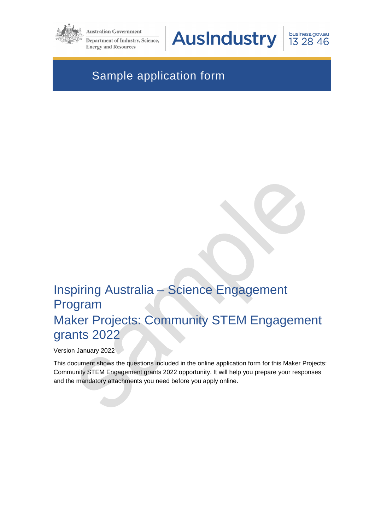

**Australian Government** 

Department of Industry, Science, **Energy and Resources** 

**AusIndustry** 

business.gov.au 13 28 46

# Sample application form

# Inspiring Australia – Science Engagement Program Maker Projects: Community STEM Engagement grants 2022

Version January 2022

This document shows the questions included in the online application form for this Maker Projects: Community STEM Engagement grants 2022 opportunity. It will help you prepare your responses and the mandatory attachments you need before you apply online.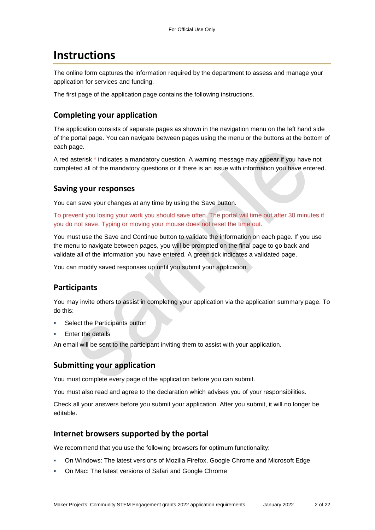## **Instructions**

The online form captures the information required by the department to assess and manage your application for services and funding.

The first page of the application page contains the following instructions.

#### **Completing your application**

The application consists of separate pages as shown in the navigation menu on the left hand side of the portal page. You can navigate between pages using the menu or the buttons at the bottom of each page.

A red asterisk \* indicates a mandatory question. A warning message may appear if you have not completed all of the mandatory questions or if there is an issue with information you have entered.

#### **Saving your responses**

You can save your changes at any time by using the Save button.

To prevent you losing your work you should save often. The portal will time out after 30 minutes if you do not save. Typing or moving your mouse does not reset the time out.

You must use the Save and Continue button to validate the information on each page. If you use the menu to navigate between pages, you will be prompted on the final page to go back and validate all of the information you have entered. A green tick indicates a validated page.

You can modify saved responses up until you submit your application.

### **Participants**

You may invite others to assist in completing your application via the application summary page. To do this:

- Select the Participants button
- Enter the details

An email will be sent to the participant inviting them to assist with your application.

#### **Submitting your application**

You must complete every page of the application before you can submit.

You must also read and agree to the declaration which advises you of your responsibilities.

Check all your answers before you submit your application. After you submit, it will no longer be editable.

#### **Internet browsers supported by the portal**

We recommend that you use the following browsers for optimum functionality:

- On Windows: The latest versions of Mozilla Firefox, Google Chrome and Microsoft Edge
- On Mac: The latest versions of Safari and Google Chrome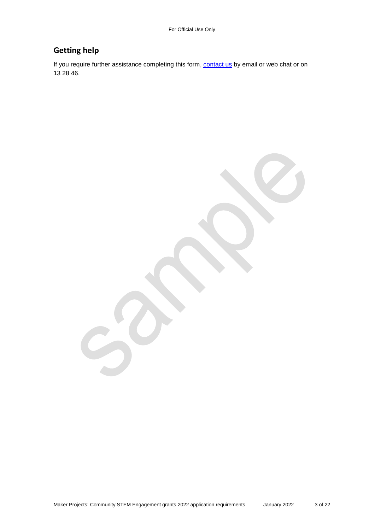#### **Getting help**

If you require further assistance completing this form, **contact us** by email or web chat or on 13 28 46.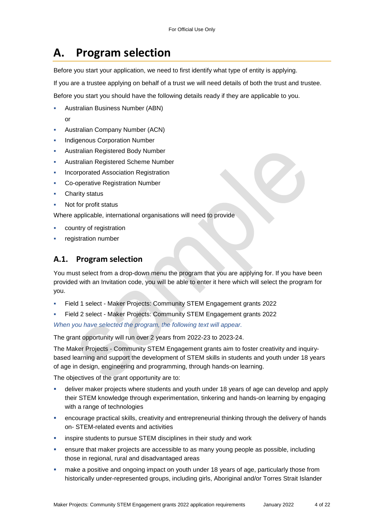# **A. Program selection**

Before you start your application, we need to first identify what type of entity is applying.

If you are a trustee applying on behalf of a trust we will need details of both the trust and trustee.

Before you start you should have the following details ready if they are applicable to you.

- Australian Business Number (ABN)
- Australian Company Number (ACN)
- Indigenous Corporation Number
- Australian Registered Body Number
- Australian Registered Scheme Number
- Incorporated Association Registration
- Co-operative Registration Number
- Charity status

or

Not for profit status

Where applicable, international organisations will need to provide

- country of registration
- registration number

### **A.1. Program selection**

You must select from a drop-down menu the program that you are applying for. If you have been provided with an Invitation code, you will be able to enter it here which will select the program for you.

- Field 1 select Maker Projects: Community STEM Engagement grants 2022
- Field 2 select Maker Projects: Community STEM Engagement grants 2022

*When you have selected the program, the following text will appear.* 

The grant opportunity will run over 2 years from 2022-23 to 2023-24.

The Maker Projects - Community STEM Engagement grants aim to foster creativity and inquirybased learning and support the development of STEM skills in students and youth under 18 years of age in design, engineering and programming, through hands-on learning.

The objectives of the grant opportunity are to:

- deliver maker projects where students and youth under 18 years of age can develop and apply their STEM knowledge through experimentation, tinkering and hands-on learning by engaging with a range of technologies
- encourage practical skills, creativity and entrepreneurial thinking through the delivery of hands on- STEM-related events and activities
- inspire students to pursue STEM disciplines in their study and work
- ensure that maker projects are accessible to as many young people as possible, including those in regional, rural and disadvantaged areas
- make a positive and ongoing impact on youth under 18 years of age, particularly those from historically under-represented groups, including girls, Aboriginal and/or Torres Strait Islander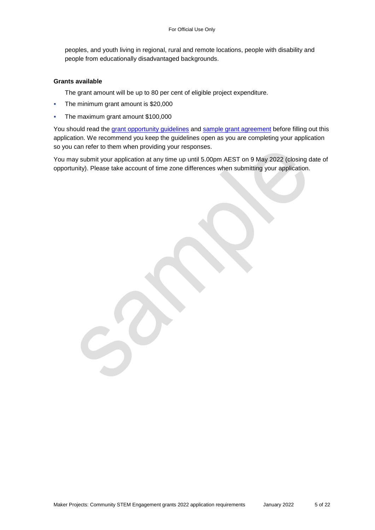peoples, and youth living in regional, rural and remote locations, people with disability and people from educationally disadvantaged backgrounds.

#### **Grants available**

The grant amount will be up to 80 per cent of eligible project expenditure.

- The minimum grant amount is \$20,000
- The maximum grant amount \$100,000

You should read the [grant opportunity guidelines](https://business.gov.au/grants-and-programs/maker-projects-community-stem-engagement-grants-2022#key-documents) and [sample grant agreement](https://business.gov.au/grants-and-programs/maker-projects-community-stem-engagement-grants-2022#key-documents) before filling out this application. We recommend you keep the guidelines open as you are completing your application so you can refer to them when providing your responses.

You may submit your application at any time up until 5.00pm AEST on 9 May 2022 (closing date of opportunity). Please take account of time zone differences when submitting your application.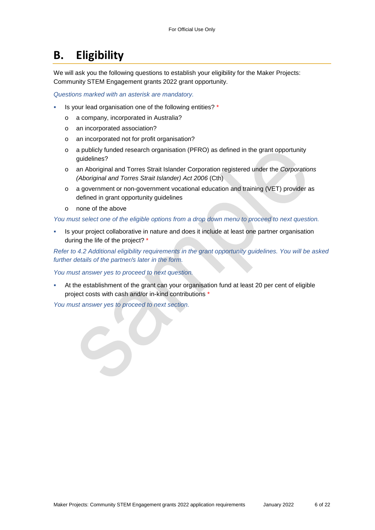## **B. Eligibility**

We will ask you the following questions to establish your eligibility for the Maker Projects: Community STEM Engagement grants 2022 grant opportunity.

*Questions marked with an asterisk are mandatory.* 

- Is your lead organisation one of the following entities? \*
	- o a company, incorporated in Australia?
	- o an incorporated association?
	- o an incorporated not for profit organisation?
	- $\circ$  a publicly funded research organisation (PFRO) as defined in the grant opportunity guidelines?
	- o an Aboriginal and Torres Strait Islander Corporation registered under the *Corporations (Aboriginal and Torres Strait Islander) Act 2006* (Cth)
	- o a government or non-government vocational education and training (VET) provider as defined in grant opportunity quidelines
	- o none of the above

*You must select one of the eligible options from a drop down menu to proceed to next question.* 

 Is your project collaborative in nature and does it include at least one partner organisation during the life of the project? \*

*Refer to 4.2 Additional eligibility requirements in the grant opportunity guidelines. You will be asked further details of the partner/s later in the form.* 

*You must answer yes to proceed to next question.* 

 At the establishment of the grant can your organisation fund at least 20 per cent of eligible project costs with cash and/or in-kind contributions \*

*You must answer yes to proceed to next section.*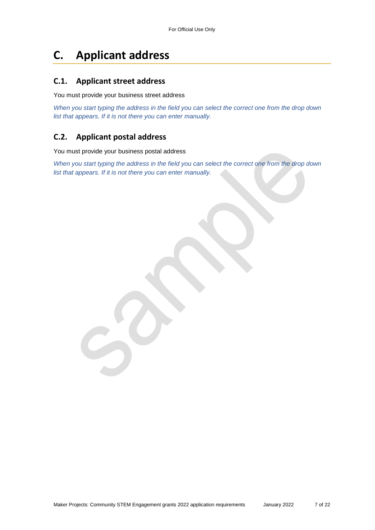# **C. Applicant address**

#### **C.1. Applicant street address**

You must provide your business street address

*When you start typing the address in the field you can select the correct one from the drop down list that appears. If it is not there you can enter manually.* 

#### **C.2. Applicant postal address**

You must provide your business postal address

*When you start typing the address in the field you can select the correct one from the drop down list that appears. If it is not there you can enter manually.*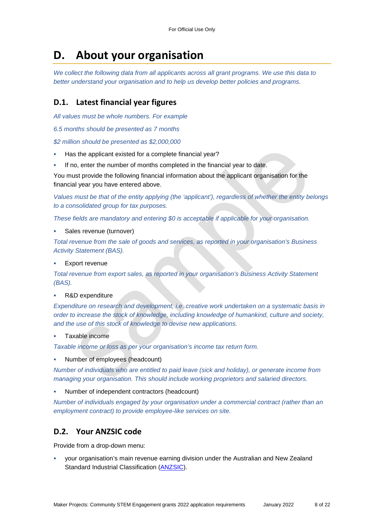## **D. About your organisation**

*We collect the following data from all applicants across all grant programs. We use this data to better understand your organisation and to help us develop better policies and programs.*

#### **D.1. Latest financial year figures**

*All values must be whole numbers. For example* 

*6.5 months should be presented as 7 months* 

*\$2 million should be presented as \$2,000,000* 

- Has the applicant existed for a complete financial year?
- If no, enter the number of months completed in the financial year to date.

You must provide the following financial information about the applicant organisation for the financial year you have entered above.

*Values must be that of the entity applying (the 'applicant'), regardless of whether the entity belongs to a consolidated group for tax purposes.* 

*These fields are mandatory and entering \$0 is acceptable if applicable for your organisation.* 

Sales revenue (turnover)

*Total revenue from the sale of goods and services, as reported in your organisation's Business Activity Statement (BAS).* 

Export revenue

*Total revenue from export sales, as reported in your organisation's Business Activity Statement (BAS).* 

R&D expenditure

*Expenditure on research and development, i.e. creative work undertaken on a systematic basis in order to increase the stock of knowledge, including knowledge of humankind, culture and society, and the use of this stock of knowledge to devise new applications.* 

Taxable income

*Taxable income or loss as per your organisation's income tax return form.* 

Number of employees (headcount)

*Number of individuals who are entitled to paid leave (sick and holiday), or generate income from managing your organisation. This should include working proprietors and salaried directors.* 

Number of independent contractors (headcount)

*Number of individuals engaged by your organisation under a commercial contract (rather than an employment contract) to provide employee-like services on site.* 

#### **D.2. Your ANZSIC code**

Provide from a drop-down menu:

 your organisation's main revenue earning division under the Australian and New Zealand Standard Industrial Classification [\(ANZSIC\)](https://www.abs.gov.au/ausstats/abs@.nsf/0/20C5B5A4F46DF95BCA25711F00146D75?opendocument).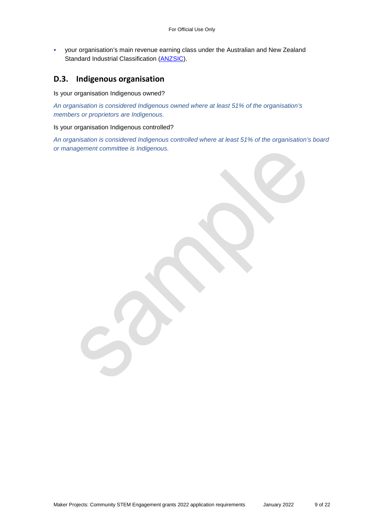your organisation's main revenue earning class under the Australian and New Zealand Standard Industrial Classification [\(ANZSIC\)](https://www.abs.gov.au/ausstats/abs@.nsf/0/20C5B5A4F46DF95BCA25711F00146D75?opendocument).

#### **D.3. Indigenous organisation**

Is your organisation Indigenous owned?

*An organisation is considered Indigenous owned where at least 51% of the organisation's members or proprietors are Indigenous.* 

Is your organisation Indigenous controlled?

*An organisation is considered Indigenous controlled where at least 51% of the organisation's board or management committee is Indigenous.* 

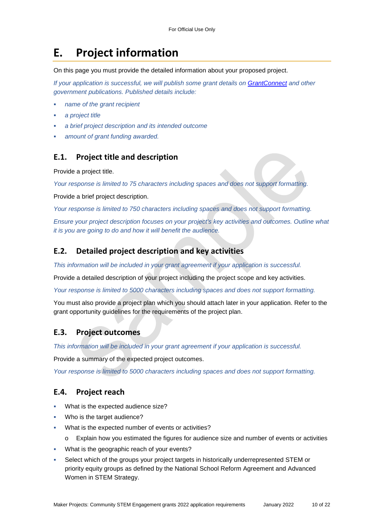# **E. Project information**

On this page you must provide the detailed information about your proposed project.

*If your application is successful, we will publish some grant details on [GrantConnect](https://www.grants.gov.au/) and other government publications. Published details include:* 

- *name of the grant recipient*
- *a project title*
- *a brief project description and its intended outcome*
- *amount of grant funding awarded.*

#### **E.1. Project title and description**

Provide a project title.

*Your response is limited to 75 characters including spaces and does not support formatting.* 

Provide a brief project description.

*Your response is limited to 750 characters including spaces and does not support formatting.* 

*Ensure your project description focuses on your project's key activities and outcomes. Outline what it is you are going to do and how it will benefit the audience.* 

#### **E.2. Detailed project description and key activities**

*This information will be included in your grant agreement if your application is successful.* 

Provide a detailed description of your project including the project scope and key activities.

*Your response is limited to 5000 characters including spaces and does not support formatting.* 

You must also provide a project plan which you should attach later in your application. Refer to the grant opportunity guidelines for the requirements of the project plan.

#### **E.3. Project outcomes**

*This information will be included in your grant agreement if your application is successful.* 

Provide a summary of the expected project outcomes.

*Your response is limited to 5000 characters including spaces and does not support formatting.* 

#### **E.4. Project reach**

- What is the expected audience size?
- Who is the target audience?
- What is the expected number of events or activities?
	- o Explain how you estimated the figures for audience size and number of events or activities
- What is the geographic reach of your events?
- Select which of the groups your project targets in historically underrepresented STEM or priority equity groups as defined by the National School Reform Agreement and Advanced Women in STEM Strategy.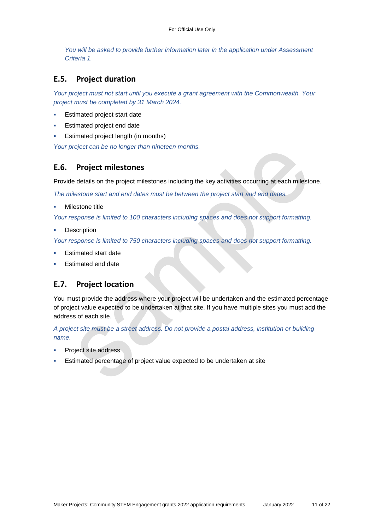*You will be asked to provide further information later in the application under Assessment Criteria 1.* 

#### **E.5. Project duration**

*Your project must not start until you execute a grant agreement with the Commonwealth. Your project must be completed by 31 March 2024.* 

- Estimated project start date
- Estimated project end date
- Estimated project length (in months)

*Your project can be no longer than nineteen months.* 

#### **E.6. Project milestones**

Provide details on the project milestones including the key activities occurring at each milestone.

*The milestone start and end dates must be between the project start and end dates.* 

Milestone title

*Your response is limited to 100 characters including spaces and does not support formatting.* 

**Description** 

*Your response is limited to 750 characters including spaces and does not support formatting.* 

- Estimated start date
- Estimated end date

#### **E.7. Project location**

You must provide the address where your project will be undertaken and the estimated percentage of project value expected to be undertaken at that site. If you have multiple sites you must add the address of each site.

*A project site must be a street address. Do not provide a postal address, institution or building name.* 

- Project site address
- Estimated percentage of project value expected to be undertaken at site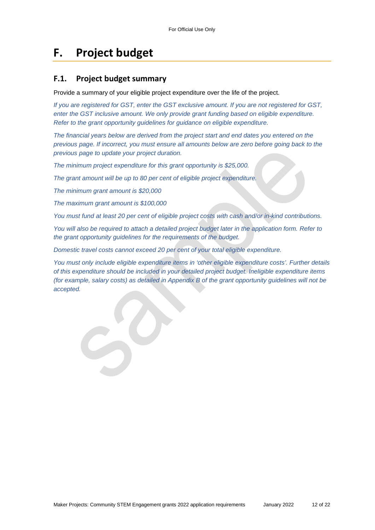# **F. Project budget**

#### **F.1. Project budget summary**

Provide a summary of your eligible project expenditure over the life of the project.

*If you are registered for GST, enter the GST exclusive amount. If you are not registered for GST, enter the GST inclusive amount. We only provide grant funding based on eligible expenditure. Refer to the grant opportunity guidelines for guidance on eligible expenditure.* 

*The financial years below are derived from the project start and end dates you entered on the previous page. If incorrect, you must ensure all amounts below are zero before going back to the previous page to update your project duration.* 

*The minimum project expenditure for this grant opportunity is \$25,000.* 

*The grant amount will be up to 80 per cent of eligible project expenditure.* 

*The minimum grant amount is \$20,000* 

*The maximum grant amount is \$100,000* 

*You must fund at least 20 per cent of eligible project costs with cash and/or in-kind contributions.* 

*You will also be required to attach a detailed project budget later in the application form. Refer to the grant opportunity guidelines for the requirements of the budget.* 

*Domestic travel costs cannot exceed 20 per cent of your total eligible expenditure.* 

*You must only include eligible expenditure items in 'other eligible expenditure costs'. Further details of this expenditure should be included in your detailed project budget. Ineligible expenditure items (for example, salary costs) as detailed in Appendix B of the grant opportunity guidelines will not be accepted.*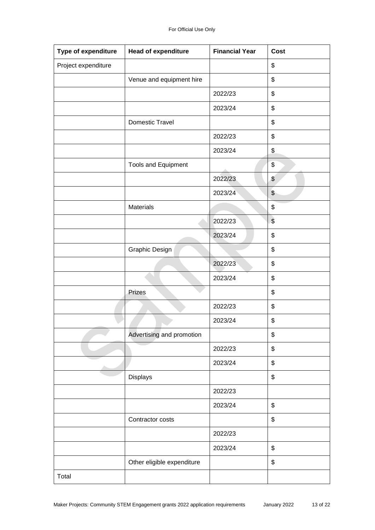| Type of expenditure | Head of expenditure        | <b>Financial Year</b> | <b>Cost</b>               |
|---------------------|----------------------------|-----------------------|---------------------------|
| Project expenditure |                            |                       | \$                        |
|                     | Venue and equipment hire   |                       | \$                        |
|                     |                            | 2022/23               | \$                        |
|                     |                            | 2023/24               | \$                        |
|                     | Domestic Travel            |                       | \$                        |
|                     |                            | 2022/23               | \$                        |
|                     |                            | 2023/24               | \$                        |
|                     | <b>Tools and Equipment</b> |                       | $\boldsymbol{\mathsf{S}}$ |
|                     |                            | 2022/23               | $\boldsymbol{\theta}$     |
|                     |                            | 2023/24               | $\boldsymbol{\theta}$     |
|                     | Materials                  |                       | \$                        |
|                     |                            | 2022/23               | $\sqrt{3}$                |
|                     |                            | 2023/24               | \$                        |
|                     | Graphic Design             |                       | \$                        |
|                     |                            | 2022/23               | \$                        |
|                     |                            | 2023/24               | \$                        |
|                     | Prizes                     |                       | \$                        |
|                     |                            | 2022/23               | \$                        |
|                     |                            | 2023/24               | \$                        |
|                     | Advertising and promotion  |                       | \$                        |
|                     |                            | 2022/23               | \$                        |
|                     |                            | 2023/24               | \$                        |
|                     | Displays                   |                       | \$                        |
|                     |                            | 2022/23               |                           |
|                     |                            | 2023/24               | \$                        |
|                     | Contractor costs           |                       | \$                        |
|                     |                            | 2022/23               |                           |
|                     |                            | 2023/24               | \$                        |
|                     | Other eligible expenditure |                       | \$                        |
| Total               |                            |                       |                           |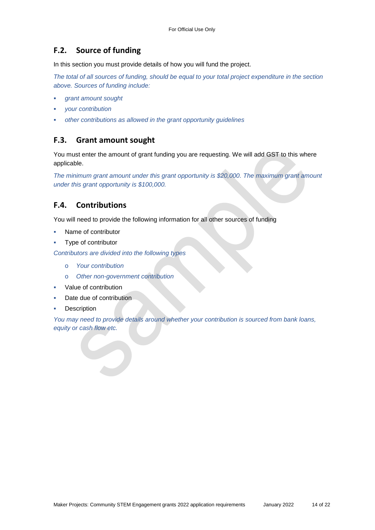#### **F.2. Source of funding**

In this section you must provide details of how you will fund the project.

*The total of all sources of funding, should be equal to your total project expenditure in the section above. Sources of funding include:* 

- *grant amount sought*
- *your contribution*
- *other contributions as allowed in the grant opportunity guidelines*

#### **F.3. Grant amount sought**

You must enter the amount of grant funding you are requesting. We will add GST to this where applicable.

*The minimum grant amount under this grant opportunity is \$20,000. The maximum grant amount under this grant opportunity is \$100,000.* 

#### **F.4. Contributions**

You will need to provide the following information for all other sources of funding

- Name of contributor
- Type of contributor

*Contributors are divided into the following types* 

- o *Your contribution*
- o *Other non-government contribution*
- **•** Value of contribution
- Date due of contribution
- **Description**

*You may need to provide details around whether your contribution is sourced from bank loans, equity or cash flow etc.*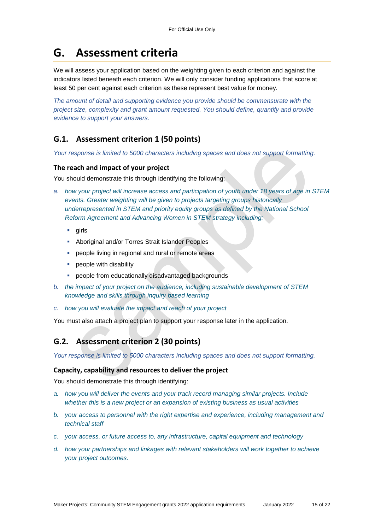### **G. Assessment criteria**

We will assess your application based on the weighting given to each criterion and against the indicators listed beneath each criterion. We will only consider funding applications that score at least 50 per cent against each criterion as these represent best value for money.

*The amount of detail and supporting evidence you provide should be commensurate with the project size, complexity and grant amount requested. You should define, quantify and provide evidence to support your answers.* 

#### **G.1. Assessment criterion 1 (50 points)**

*Your response is limited to 5000 characters including spaces and does not support formatting.* 

#### **The reach and impact of your project**

You should demonstrate this through identifying the following:

- *a. how your project will increase access and participation of youth under 18 years of age in STEM events. Greater weighting will be given to projects targeting groups historically underrepresented in STEM and priority equity groups as defined by the National School Reform Agreement and Advancing Women in STEM strategy including:* 
	- $q$ irls
	- **-** Aboriginal and/or Torres Strait Islander Peoples
	- **PEOP** people living in regional and rural or remote areas
	- **•** people with disability
	- people from educationally disadvantaged backgrounds
- *b. the impact of your project on the audience, including sustainable development of STEM knowledge and skills through inquiry based learning*
- *c. how you will evaluate the impact and reach of your project*

You must also attach a project plan to support your response later in the application.

#### **G.2. Assessment criterion 2 (30 points)**

*Your response is limited to 5000 characters including spaces and does not support formatting.* 

#### **Capacity, capability and resources to deliver the project**

You should demonstrate this through identifying:

- *a. how you will deliver the events and your track record managing similar projects. Include whether this is a new project or an expansion of existing business as usual activities*
- *b. your access to personnel with the right expertise and experience, including management and technical staff*
- *c. your access, or future access to, any infrastructure, capital equipment and technology*
- *d. how your partnerships and linkages with relevant stakeholders will work together to achieve your project outcomes.*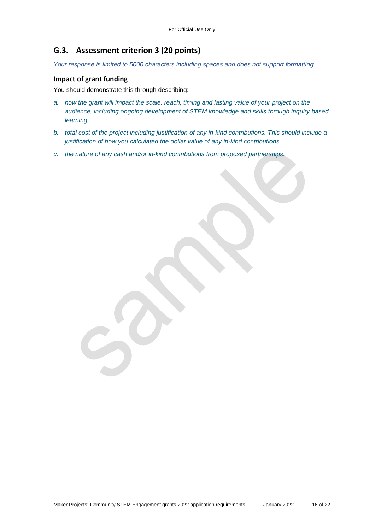#### **G.3. Assessment criterion 3 (20 points)**

*Your response is limited to 5000 characters including spaces and does not support formatting.* 

#### **Impact of grant funding**

You should demonstrate this through describing:

- *a. how the grant will impact the scale, reach, timing and lasting value of your project on the audience, including ongoing development of STEM knowledge and skills through inquiry based learning.*
- *b. total cost of the project including justification of any in-kind contributions. This should include a justification of how you calculated the dollar value of any in-kind contributions.*
- *c. the nature of any cash and/or in-kind contributions from proposed partnerships.*

Maker Projects: Community STEM Engagement grants 2022 application requirements January 2022 16 of 22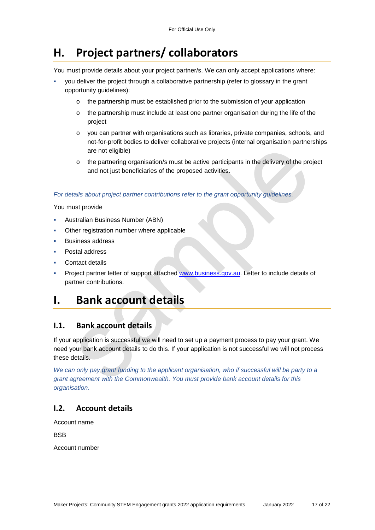# **H. Project partners/ collaborators**

You must provide details about your project partner/s. We can only accept applications where:

- you deliver the project through a collaborative partnership (refer to glossary in the grant opportunity guidelines):
	- o the partnership must be established prior to the submission of your application
	- $\circ$  the partnership must include at least one partner organisation during the life of the project
	- o you can partner with organisations such as libraries, private companies, schools, and not-for-profit bodies to deliver collaborative projects (internal organisation partnerships are not eligible)
	- o the partnering organisation/s must be active participants in the delivery of the project and not just beneficiaries of the proposed activities.

#### *For details about project partner contributions refer to the grant opportunity guidelines.*

You must provide

- Australian Business Number (ABN)
- Other registration number where applicable
- Business address
- Postal address
- Contact details
- Project partner letter of support attached [www.business.gov.au.](https://business.gov.au/grants-and-programs/maker-projects-community-stem-engagement-grants-2022) Letter to include details of partner contributions.

## **I. Bank account details**

#### **I.1. Bank account details**

If your application is successful we will need to set up a payment process to pay your grant. We need your bank account details to do this. If your application is not successful we will not process these details.

*We can only pay grant funding to the applicant organisation, who if successful will be party to a grant agreement with the Commonwealth. You must provide bank account details for this organisation.* 

#### **I.2. Account details**

Account name

**BSB** 

Account number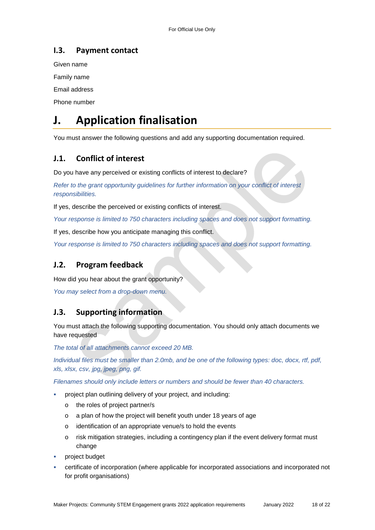### **I.3. Payment contact**

Given name

Family name

Email address

Phone number

# **J. Application finalisation**

You must answer the following questions and add any supporting documentation required.

### **J.1. Conflict of interest**

Do you have any perceived or existing conflicts of interest to declare?

*Refer to the grant opportunity guidelines for further information on your conflict of interest responsibilities.* 

If yes, describe the perceived or existing conflicts of interest.

*Your response is limited to 750 characters including spaces and does not support formatting.* 

If yes, describe how you anticipate managing this conflict.

*Your response is limited to 750 characters including spaces and does not support formatting.* 

### **J.2. Program feedback**

How did you hear about the grant opportunity?

*You may select from a drop-down menu.* 

#### **J.3. Supporting information**

You must attach the following supporting documentation. You should only attach documents we have requested

*The total of all attachments cannot exceed 20 MB.* 

*Individual files must be smaller than 2.0mb, and be one of the following types: doc, docx, rtf, pdf, xls, xlsx, csv, jpg, jpeg, png, gif.* 

*Filenames should only include letters or numbers and should be fewer than 40 characters.* 

- project plan outlining delivery of your project, and including:
	- o the roles of project partner/s
	- o a plan of how the project will benefit youth under 18 years of age
	- o identification of an appropriate venue/s to hold the events
	- o risk mitigation strategies, including a contingency plan if the event delivery format must change
- project budget
- certificate of incorporation (where applicable for incorporated associations and incorporated not for profit organisations)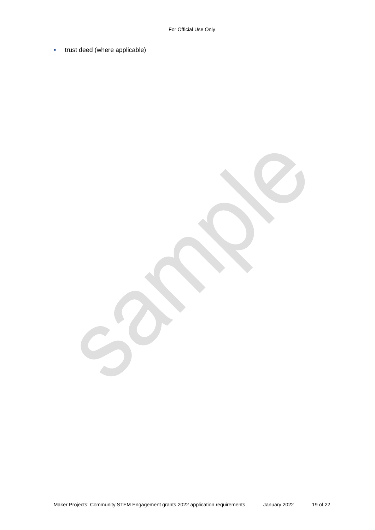**trust deed (where applicable)**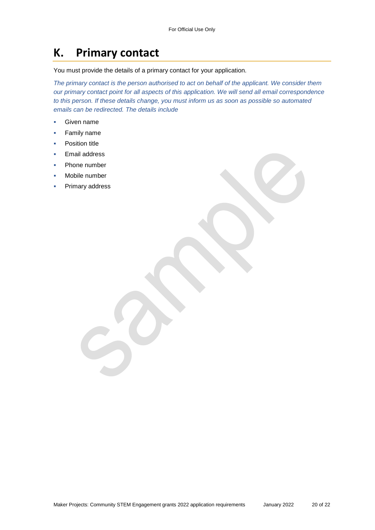## **K. Primary contact**

You must provide the details of a primary contact for your application.

*The primary contact is the person authorised to act on behalf of the applicant. We consider them our primary contact point for all aspects of this application. We will send all email correspondence to this person. If these details change, you must inform us as soon as possible so automated emails can be redirected. The details include* 

- Given name
- **Family name**
- Position title
- Email address
- Phone number
- Mobile number
- Primary address

Maker Projects: Community STEM Engagement grants 2022 application requirements January 2022 20 of 22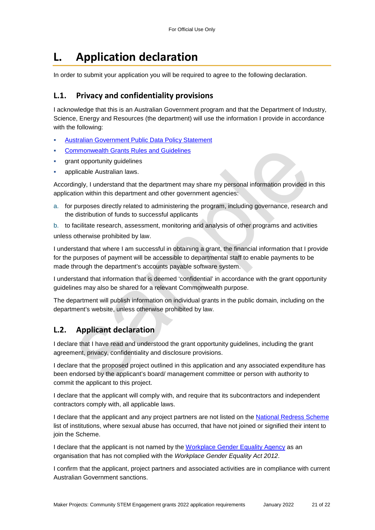# **L. Application declaration**

In order to submit your application you will be required to agree to the following declaration.

#### **L.1. Privacy and confidentiality provisions**

I acknowledge that this is an Australian Government program and that the Department of Industry, Science, Energy and Resources (the department) will use the information I provide in accordance with the following:

- [Australian Government Public Data Policy Statement](https://www.pmc.gov.au/sites/default/files/publications/aust_govt_public_data_policy_statement_1.pdf)
- [Commonwealth Grants Rules and Guidelines](https://www.finance.gov.au/government/commonwealth-grants/commonwealth-grants-rules-guidelines)
- grant opportunity guidelines
- applicable Australian laws.

Accordingly, I understand that the department may share my personal information provided in this application within this department and other government agencies:

a. for purposes directly related to administering the program, including governance, research and the distribution of funds to successful applicants

b. to facilitate research, assessment, monitoring and analysis of other programs and activities unless otherwise prohibited by law.

I understand that where I am successful in obtaining a grant, the financial information that I provide for the purposes of payment will be accessible to departmental staff to enable payments to be made through the department's accounts payable software system.

I understand that information that is deemed 'confidential' in accordance with the grant opportunity guidelines may also be shared for a relevant Commonwealth purpose.

The department will publish information on individual grants in the public domain, including on the department's website, unless otherwise prohibited by law.

#### **L.2. Applicant declaration**

I declare that I have read and understood the grant opportunity guidelines, including the grant agreement, privacy, confidentiality and disclosure provisions.

I declare that the proposed project outlined in this application and any associated expenditure has been endorsed by the applicant's board/ management committee or person with authority to commit the applicant to this project.

I declare that the applicant will comply with, and require that its subcontractors and independent contractors comply with, all applicable laws.

I declare that the applicant and any project partners are not listed on the [National Redress Scheme](https://www.nationalredress.gov.au/institutions/institutions-have-not-yet-joined) list of institutions, where sexual abuse has occurred, that have not joined or signified their intent to join the Scheme.

I declare that the applicant is not named by the [Workplace Gender Equality Agency](https://www.wgea.gov.au/what-we-do/compliance-reporting/non-compliant-list) as an organisation that has not complied with the *Workplace Gender Equality Act 2012*.

I confirm that the applicant, project partners and associated activities are in compliance with current Australian Government sanctions.